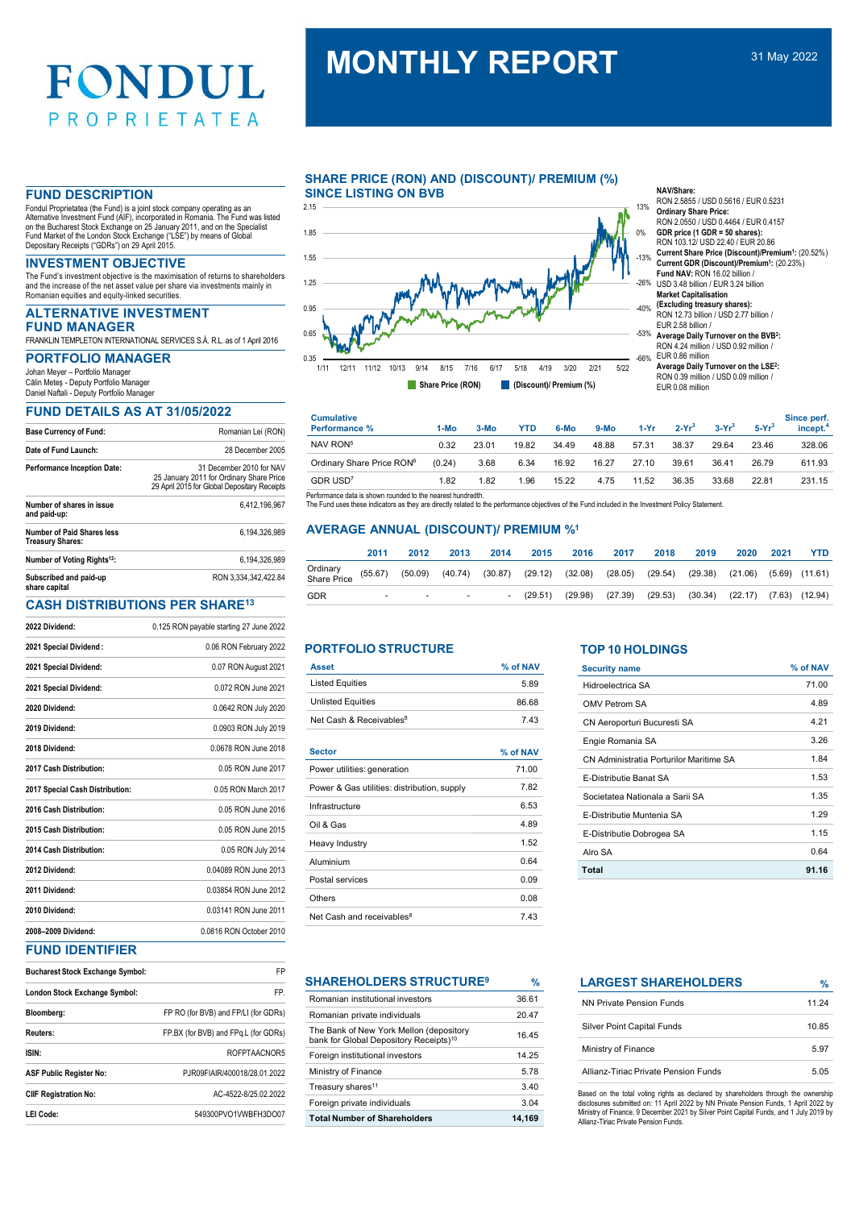# MONTHLY REPORT 31 May 2022

Fondul Proprietatea (the Fund) is a joint stock company operating as an Alternative Investment Fund (AIF), incorporated in Romania. The Fund was listed on the Bucharest Stock Exchange on 25 January 2011, and on the Specialist<br>Fund Market of the London Stock Exchange ("LSE") by means of Global<br>Depositary Receipts ("GDRs") on 29 April 2015.

The Fund's investment objective is the maximisation of returns to shareholders and the increase of the net asset value per share via investments mainly in Romanian equities and equity-linked securities.

# ALTERNATIVE INVESTMENT FUND MANAGER

FRANKLIN TEMPLETON INTERNATIONAL SERVICES S.À. R.L. as of 1 April 2016

Johan Meyer – Portfolio Manager Călin Meteș - Deputy Portfolio Manager

Daniel Naftali - Deputy Portfolio Manager

# FUND DETAILS AS AT 31/05/2022

| <b>Base Currency of Fund:</b>                         | Romanian Lei (RON)                                                                                                   |
|-------------------------------------------------------|----------------------------------------------------------------------------------------------------------------------|
| Date of Fund Launch:                                  | 28 December 2005                                                                                                     |
| <b>Performance Inception Date:</b>                    | 31 December 2010 for NAV<br>25 January 2011 for Ordinary Share Price<br>29 April 2015 for Global Depositary Receipts |
| Number of shares in issue<br>and paid-up:             | 6.412.196.967                                                                                                        |
| Number of Paid Shares less<br><b>Treasury Shares:</b> | 6.194.326.989                                                                                                        |
| Number of Voting Rights <sup>12</sup> :               | 6.194.326.989                                                                                                        |
| Subscribed and paid-up<br>share capital               | RON 3.334.342.422.84                                                                                                 |

# CASH DISTRIBUTIONS PER SHARE<sup>13</sup>

| 2022 Dividend:                  | 0.125 RON payable starting 27 June 2022 |
|---------------------------------|-----------------------------------------|
| 2021 Special Dividend:          | 0.06 RON February 2022                  |
| 2021 Special Dividend:          | 0.07 RON August 2021                    |
| 2021 Special Dividend:          | 0.072 RON June 2021                     |
| 2020 Dividend:                  | 0.0642 RON July 2020                    |
| 2019 Dividend:                  | 0.0903 RON July 2019                    |
| 2018 Dividend:                  | 0.0678 RON June 2018                    |
| 2017 Cash Distribution:         | 0.05 RON June 2017                      |
| 2017 Special Cash Distribution: | 0.05 RON March 2017                     |
| 2016 Cash Distribution:         | 0.05 RON June 2016                      |
| 2015 Cash Distribution:         | 0.05 RON June 2015                      |
| 2014 Cash Distribution:         | 0.05 RON July 2014                      |
| 2012 Dividend:                  | 0.04089 RON June 2013                   |
| 2011 Dividend:                  | 0.03854 RON June 2012                   |
| 2010 Dividend:                  | 0.03141 RON June 2011                   |
| 2008-2009 Dividend:             | 0.0816 RON October 2010                 |

# FUND IDENTIFIER

| <b>Bucharest Stock Exchange Symbol:</b> | FP                                   |
|-----------------------------------------|--------------------------------------|
| London Stock Exchange Symbol:           | FP.                                  |
| Bloomberg:                              | FP RO (for BVB) and FP/LI (for GDRs) |
| Reuters:                                | FP.BX (for BVB) and FPq.L (for GDRs) |
| ISIN:                                   | ROFPTAACNOR5                         |
| <b>ASF Public Register No:</b>          | PJR09FIAIR/400018/28.01.2022         |
| <b>CIIF Registration No:</b>            | AC-4522-8/25.02.2022                 |
| LEI Code:                               | 549300PVO1VWBFH3DO07                 |

# SHARE PRICE (RON) AND (DISCOUNT)/ PREMIUM (%)<br>SINCE LISTING ON RVB **FUND DESCRIPTION EXAMPLE SINCE LISTING ON BVB** NAVISHATED NAVISHATED NAVISHATED.



- RON 2.5855 / USD 0.5616 / EUR 0.5231 Ordinary Share Price:
- RON 2.0550 / USD 0.4464 / EUR 0.4157
- GDR price (1 GDR = 50 shares): RON 103.12/ USD 22.40 / EUR 20.86 0%
- Current Share Price (Discount)/Premium<sup>1</sup>: (20.52%)<br>Current GDR (Discount)/Premium<sup>1</sup>: (20.23%) -13%
- Fund NAV: RON 16.02 billion / USD 3.48 billion / EUR 3.24 billion -26% Market Capitalisation
- (Excluding treasury shares): RON 12.73 billion / USD 2.77 billion / -40%

| 1.25<br>0.95<br>0.65<br>0.35<br>1/11      | 12/11 11/12 10/13                                                                                                                                                                                                     | 9/14            | 8/15<br>Share Price (RON) | 7/16<br>6/17    | 5/18<br>4/19<br>(Discount)/ Premium (%) | 3/20            | "<br>2/21<br>5/22    | -26% USD 3.48 billion / EUR 3.24 billion<br>$-40%$<br>-53%<br>$-66%$ | <b>Fund NAV: RON 16.02 billion /</b><br><b>Market Capitalisation</b><br>(Excluding treasury shares):<br>RON 12.73 billion / USD 2.77 billion /<br>EUR 2.58 billion /<br>Average Daily Turnover on the BVB <sup>2</sup> :<br>RON 4.24 million / USD 0.92 million /<br>EUR 0.86 million<br>Average Daily Turnover on the LSE <sup>2</sup> :<br>RON 0.39 million / USD 0.09 million /<br>EUR 0.08 million |          |                 |                |                                     |
|-------------------------------------------|-----------------------------------------------------------------------------------------------------------------------------------------------------------------------------------------------------------------------|-----------------|---------------------------|-----------------|-----------------------------------------|-----------------|----------------------|----------------------------------------------------------------------|--------------------------------------------------------------------------------------------------------------------------------------------------------------------------------------------------------------------------------------------------------------------------------------------------------------------------------------------------------------------------------------------------------|----------|-----------------|----------------|-------------------------------------|
| <b>Cumulative</b><br><b>Performance %</b> |                                                                                                                                                                                                                       |                 | $1-MO$                    | $3-MO$          | <b>YTD</b>                              | 6-Mo            | $9-MO$               | $1-Yr$                                                               | $2-Yr^3$                                                                                                                                                                                                                                                                                                                                                                                               | $3-Yr^3$ |                 | $5-Yr^3$       | Since perf.<br>incept. <sup>4</sup> |
| NAV RON <sup>5</sup>                      |                                                                                                                                                                                                                       |                 | 0.32                      | 23.01           | 19.82                                   | 34.49           | 48.88                | 57.31                                                                | 38.37                                                                                                                                                                                                                                                                                                                                                                                                  | 29.64    |                 | 23.46          | 328.06                              |
|                                           | Ordinary Share Price RON <sup>6</sup>                                                                                                                                                                                 |                 | (0.24)                    | 3.68            | 6.34                                    | 16.92           | 16.27                | 27.10                                                                | 39.61                                                                                                                                                                                                                                                                                                                                                                                                  | 36.41    |                 | 26.79          | 611.93                              |
| GDR USD <sup>7</sup>                      |                                                                                                                                                                                                                       |                 | 1.82                      | 1.82            | 1.96                                    | 15.22           | 4.75                 | 11.52                                                                | 36.35                                                                                                                                                                                                                                                                                                                                                                                                  | 33.68    |                 | 22.81          | 231.15                              |
| Ordinary<br>Share Price                   | The Fund uses these indicators as they are directly related to the performance objectives of the Fund included in the Investment Policy Statement.<br><b>AVERAGE ANNUAL (DISCOUNT)/ PREMIUM %1</b><br>2011<br>(55.67) | 2012<br>(50.09) | 2013<br>(40.74)           | 2014<br>(30.87) | 2015<br>(29.12)                         | 2016<br>(32.08) | 2017<br>(28.05)      | 2018<br>(29.54)                                                      | (29.38)                                                                                                                                                                                                                                                                                                                                                                                                | 2019     | 2020<br>(21.06) | 2021<br>(5.69) | <b>YTD</b><br>(11.61)               |
| <b>GDR</b>                                | <b>PORTFOLIO STRUCTURE</b>                                                                                                                                                                                            |                 |                           |                 | (29.51)                                 | (29.98)         | (27.39)              | (29.53)<br><b>TOP 10 HOLDINGS</b>                                    | (30.34)                                                                                                                                                                                                                                                                                                                                                                                                |          | (22.17)         |                | $(7.63)$ $(12.94)$                  |
| <b>Asset</b>                              |                                                                                                                                                                                                                       |                 |                           |                 | % of NAV                                |                 | <b>Security name</b> |                                                                      |                                                                                                                                                                                                                                                                                                                                                                                                        |          |                 |                | % of NAV                            |
| <b>Listed Equities</b>                    |                                                                                                                                                                                                                       |                 |                           |                 | 5.89                                    |                 | Hidroelectrica SA    |                                                                      |                                                                                                                                                                                                                                                                                                                                                                                                        |          |                 |                | 71.00                               |
| <b>Unlisted Equities</b>                  |                                                                                                                                                                                                                       |                 |                           |                 | 86.68                                   |                 | <b>OMV Petrom SA</b> |                                                                      |                                                                                                                                                                                                                                                                                                                                                                                                        |          |                 |                | 4.89                                |
|                                           | Net Cash & Receivables <sup>8</sup>                                                                                                                                                                                   |                 |                           |                 | 7.43                                    |                 |                      | CN Aeroporturi Bucuresti SA                                          |                                                                                                                                                                                                                                                                                                                                                                                                        |          |                 |                | 4.21                                |
|                                           |                                                                                                                                                                                                                       |                 |                           |                 |                                         |                 | Engie Romania SA     |                                                                      |                                                                                                                                                                                                                                                                                                                                                                                                        |          |                 |                | 3.26                                |

|                                                                                                                        | 2011   |        |                          |  | 2012 2013 2014 2015 2016 2017 2018 2019                          |  | 2020 2021 | <b>YTD</b> |
|------------------------------------------------------------------------------------------------------------------------|--------|--------|--------------------------|--|------------------------------------------------------------------|--|-----------|------------|
| Ordinary<br>Share Price (55.67) (50.09) (40.74) (30.87) (29.12) (32.08) (28.05) (29.54) (29.38) (21.06) (5.69) (11.61) |        |        |                          |  |                                                                  |  |           |            |
| GDR                                                                                                                    | $\sim$ | $\sim$ | <b>Contract Contract</b> |  | - (29.51) (29.98) (27.39) (29.53) (30.34) (22.17) (7.63) (12.94) |  |           |            |

| <b>Asset</b>                        | % of NAV |
|-------------------------------------|----------|
| <b>Listed Equities</b>              | 5.89     |
| <b>Unlisted Equities</b>            | 86.68    |
| Net Cash & Receivables <sup>8</sup> | 743      |

| <b>Sector</b>                               | % of NAV |
|---------------------------------------------|----------|
| Power utilities: generation                 | 71.00    |
| Power & Gas utilities: distribution, supply | 7.82     |
| Infrastructure                              | 6.53     |
| Oil & Gas                                   | 4.89     |
| Heavy Industry                              | 1.52     |
| Aluminium                                   | 0.64     |
| Postal services                             | 0.09     |
| Others                                      | 0.08     |
| Net Cash and receivables <sup>8</sup>       | 7.43     |

| ,,,,,,,,,,,,,,,,,,,,,,,,,,,,,,                                                                | 70     |
|-----------------------------------------------------------------------------------------------|--------|
| Romanian institutional investors                                                              | 36.61  |
| Romanian private individuals                                                                  | 20.47  |
| The Bank of New York Mellon (depository<br>bank for Global Depository Receipts) <sup>10</sup> | 16.45  |
| Foreign institutional investors                                                               | 14.25  |
| Ministry of Finance                                                                           | 5.78   |
| Treasury shares <sup>11</sup>                                                                 | 3.40   |
| Foreign private individuals                                                                   | 3.04   |
| <b>Total Number of Shareholders</b>                                                           | 14.169 |
|                                                                                               |        |

| <b>PORTFOLIO STRUCTURE</b>                                                                    |               | <b>TOP 10 HOLDINGS</b>                                                                                                          |          |
|-----------------------------------------------------------------------------------------------|---------------|---------------------------------------------------------------------------------------------------------------------------------|----------|
| <b>Asset</b>                                                                                  | % of NAV      | <b>Security name</b>                                                                                                            | % of NAV |
| <b>Listed Equities</b>                                                                        | 5.89          | Hidroelectrica SA                                                                                                               | 71.00    |
| <b>Unlisted Equities</b>                                                                      | 86.68         | OMV Petrom SA                                                                                                                   | 4.89     |
| Net Cash & Receivables <sup>8</sup>                                                           | 7.43          | CN Aeroporturi Bucuresti SA                                                                                                     | 4.21     |
|                                                                                               |               | Engie Romania SA                                                                                                                | 3.26     |
| <b>Sector</b>                                                                                 | % of NAV      | CN Administratia Porturilor Maritime SA                                                                                         | 1.84     |
| Power utilities: generation                                                                   | 71.00         | E-Distributie Banat SA                                                                                                          | 1.53     |
| Power & Gas utilities: distribution, supply                                                   | 7.82          | Societatea Nationala a Sarii SA                                                                                                 | 1.35     |
| Infrastructure                                                                                | 6.53          | E-Distributie Muntenia SA                                                                                                       | 1.29     |
| Oil & Gas                                                                                     | 4.89          | E-Distributie Dobrogea SA                                                                                                       | 1.15     |
| Heavy Industry                                                                                | 1.52          | Alro SA                                                                                                                         | 0.64     |
| Aluminium                                                                                     | 0.64          |                                                                                                                                 |          |
| Postal services                                                                               | 0.09          | Total                                                                                                                           | 91.16    |
| Others                                                                                        | 0.08          |                                                                                                                                 |          |
| Net Cash and receivables <sup>8</sup>                                                         | 7.43          |                                                                                                                                 |          |
| <b>SHAREHOLDERS STRUCTURE<sup>9</sup></b>                                                     | $\frac{9}{6}$ | <b>LARGEST SHAREHOLDERS</b>                                                                                                     | $\%$     |
| Romanian institutional investors                                                              | 36.61         | <b>NN Private Pension Funds</b>                                                                                                 | 11.24    |
| Romanian private individuals                                                                  | 20.47         | <b>Silver Point Capital Funds</b>                                                                                               | 10.85    |
| The Bank of New York Mellon (depository<br>bank for Global Depository Receipts) <sup>10</sup> | 16.45         |                                                                                                                                 |          |
| Foreign institutional investors                                                               | 14.25         | Ministry of Finance                                                                                                             | 5.97     |
| Ministry of Finance                                                                           | 5.78          | Allianz-Tiriac Private Pension Funds                                                                                            | 5.05     |
| Treasury shares <sup>11</sup>                                                                 | 3.40          | Based on the total voting rights as declared by shareholders through the ownership                                              |          |
| Foreign private individuals                                                                   | 3.04          | disclosures submitted on: 11 April 2022 by NN Private Pension Funds, 1 April 2022 by                                            |          |
| <b>Total Number of Shareholders</b>                                                           | 14.169        | Ministry of Finance, 9 December 2021 by Silver Point Capital Funds, and 1 July 2019 by<br>Allianz-Tiriac Private Pension Funds. |          |

| %        | <b>LARGEST SHAREHOLDERS</b>          | $\frac{9}{6}$ |
|----------|--------------------------------------|---------------|
| 31<br>17 | <b>NN Private Pension Funds</b>      | 11.24         |
|          | Silver Point Capital Funds           | 10.85         |
|          | Ministry of Finance                  | 5.97          |
|          | Allianz-Tiriac Private Pension Funds | 5.05          |